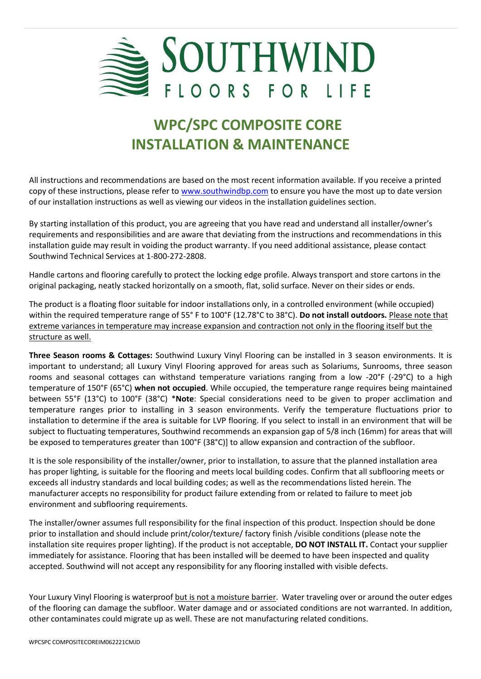

# **WPC/SPC COMPOSITE CORE INSTALLATION & MAINTENANCE**

All instructions and recommendations are based on the most recent information available. If you receive a printed copy of these instructions, please refer to [www.southwindbp.com](http://www.southwindbp.com/) to ensure you have the most up to date version of our installation instructions as well as viewing our videos in the installation guidelines section.

By starting installation of this product, you are agreeing that you have read and understand all installer/owner's requirements and responsibilities and are aware that deviating from the instructions and recommendations in this installation guide may result in voiding the product warranty. If you need additional assistance, please contact Southwind Technical Services at 1-800-272-2808.

Handle cartons and flooring carefully to protect the locking edge profile. Always transport and store cartons in the original packaging, neatly stacked horizontally on a smooth, flat, solid surface. Never on their sides or ends.

The product is a floating floor suitable for indoor installations only, in a controlled environment (while occupied) within the required temperature range of 55° F to 100°F (12.78°C to 38°C). **Do not install outdoors.** Please note that extreme variances in temperature may increase expansion and contraction not only in the flooring itself but the structure as well.

**Three Season rooms & Cottages:** Southwind Luxury Vinyl Flooring can be installed in 3 season environments. It is important to understand; all Luxury Vinyl Flooring approved for areas such as Solariums, Sunrooms, three season rooms and seasonal cottages can withstand temperature variations ranging from a low -20°F (-29°C) to a high temperature of 150°F (65°C) **when not occupied**. While occupied, the temperature range requires being maintained between 55°F (13°C) to 100°F (38°C) \***Note**: Special considerations need to be given to proper acclimation and temperature ranges prior to installing in 3 season environments. Verify the temperature fluctuations prior to installation to determine if the area is suitable for LVP flooring. If you select to install in an environment that will be subject to fluctuating temperatures, Southwind recommends an expansion gap of 5/8 inch (16mm) for areas that will be exposed to temperatures greater than 100°F (38°C)] to allow expansion and contraction of the subfloor.

It is the sole responsibility of the installer/owner, prior to installation, to assure that the planned installation area has proper lighting, is suitable for the flooring and meets local building codes. Confirm that all subflooring meets or exceeds all industry standards and local building codes; as well as the recommendations listed herein. The manufacturer accepts no responsibility for product failure extending from or related to failure to meet job environment and subflooring requirements.

The installer/owner assumes full responsibility for the final inspection of this product. Inspection should be done prior to installation and should include print/color/texture/ factory finish /visible conditions (please note the installation site requires proper lighting). If the product is not acceptable, **DO NOT INSTALL IT.** Contact your supplier immediately for assistance. Flooring that has been installed will be deemed to have been inspected and quality accepted. Southwind will not accept any responsibility for any flooring installed with visible defects.

Your Luxury Vinyl Flooring is waterproof but is not a moisture barrier. Water traveling over or around the outer edges of the flooring can damage the subfloor. Water damage and or associated conditions are not warranted. In addition, other contaminates could migrate up as well. These are not manufacturing related conditions.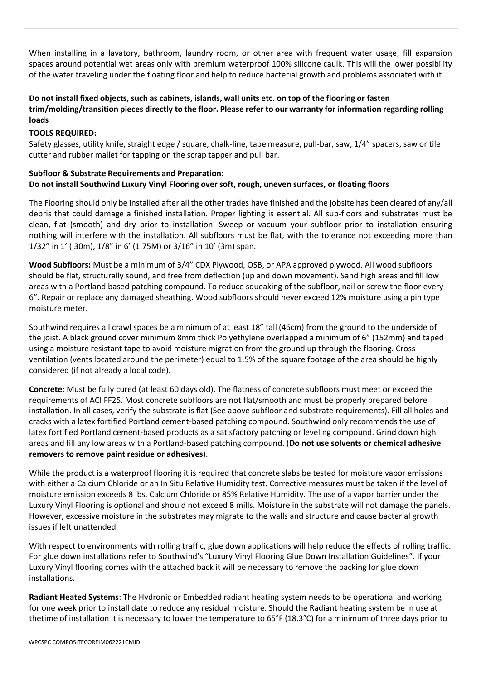When installing in a lavatory, bathroom, laundry room, or other area with frequent water usage, fill expansion spaces around potential wet areas only with premium waterproof 100% silicone caulk. This will the lower possibility of the water traveling under the floating floor and help to reduce bacterial growth and problems associated with it.

#### Do not install fixed objects, such as cabinets, islands, wall units etc. on top of the flooring or fasten **trim/molding/transition pieces directly to the floor. Please refer to our warranty for information regarding rolling loads**

#### **TOOLS REQUIRED:**

Safety glasses, utility knife, straight edge / square, chalk-line, tape measure, pull-bar, saw, 1/4" spacers, saw or tile cutter and rubber mallet for tapping on the scrap tapper and pull bar.

#### **Subfloor & Substrate Requirements and Preparation: Do not install Southwind Luxury Vinyl Flooring over soft, rough, uneven surfaces, or floating floors**

The Flooring should only be installed after all the other trades have finished and the jobsite has been cleared of any/all debris that could damage a finished installation. Proper lighting is essential. All sub-floors and substrates must be clean, flat (smooth) and dry prior to installation. Sweep or vacuum your subfloor prior to installation ensuring nothing will interfere with the installation. All subfloors must be flat, with the tolerance not exceeding more than 1/32" in 1' (.30m), 1/8" in 6' (1.75M) or 3/16" in 10' (3m) span.

**Wood Subfloors:** Must be a minimum of 3/4" CDX Plywood, OSB, or APA approved plywood. All wood subfloors should be flat, structurally sound, and free from deflection (up and down movement). Sand high areas and fill low areas with a Portland based patching compound. To reduce squeaking of the subfloor, nail or screw the floor every 6". Repair or replace any damaged sheathing. Wood subfloors should never exceed 12% moisture using a pin type moisture meter.

Southwind requires all crawl spaces be a minimum of at least 18" tall (46cm) from the ground to the underside of the joist. A black ground cover minimum 8mm thick Polyethylene overlapped a minimum of 6" (152mm) and taped using a moisture resistant tape to avoid moisture migration from the ground up through the flooring. Cross ventilation (vents located around the perimeter) equal to 1.5% of the square footage of the area should be highly considered (if not already a local code).

**Concrete:** Must be fully cured (at least 60 days old). The flatness of concrete subfloors must meet or exceed the requirements of ACI FF25. Most concrete subfloors are not flat/smooth and must be properly prepared before installation. In all cases, verify the substrate is flat (See above subfloor and substrate requirements). Fill all holes and cracks with a latex fortified Portland cement-based patching compound. Southwind only recommends the use of latex fortified Portland cement-based products as a satisfactory patching or leveling compound. Grind down high areas and fill any low areas with a Portland-based patching compound. (**Do not use solvents or chemical adhesive removers to remove paint residue or adhesives**).

While the product is a waterproof flooring it is required that concrete slabs be tested for moisture vapor emissions with either a Calcium Chloride or an In Situ Relative Humidity test. Corrective measures must be taken if the level of moisture emission exceeds 8 lbs. Calcium Chloride or 85% Relative Humidity. The use of a vapor barrier under the Luxury Vinyl Flooring is optional and should not exceed 8 mills. Moisture in the substrate will not damage the panels. However, excessive moisture in the substrates may migrate to the walls and structure and cause bacterial growth issues if left unattended.

With respect to environments with rolling traffic, glue down applications will help reduce the effects of rolling traffic. For glue down installations refer to Southwind's "Luxury Vinyl Flooring Glue Down Installation Guidelines". If your Luxury Vinyl flooring comes with the attached back it will be necessary to remove the backing for glue down installations.

**Radiant Heated Systems**: The Hydronic or Embedded radiant heating system needs to be operational and working for one week prior to install date to reduce any residual moisture. Should the Radiant heating system be in use at thetime of installation it is necessary to lower the temperature to 65°F (18.3°C) for a minimum of three days prior to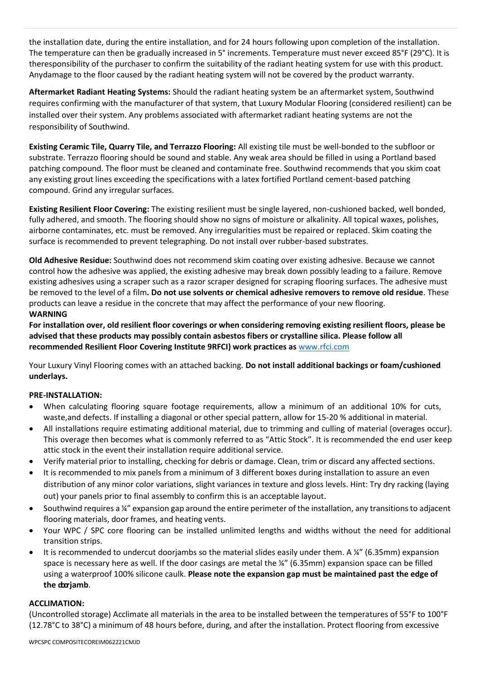the installation date, during the entire installation, and for 24 hours following upon completion of the installation. The temperature can then be gradually increased in 5° increments. Temperature must never exceed 85°F (29°C). It is theresponsibility of the purchaser to confirm the suitability of the radiant heating system for use with this product. Anydamage to the floor caused by the radiant heating system will not be covered by the product warranty.

**Aftermarket Radiant Heating Systems:** Should the radiant heating system be an aftermarket system, Southwind requires confirming with the manufacturer of that system, that Luxury Modular Flooring (considered resilient) can be installed over their system. Any problems associated with aftermarket radiant heating systems are not the responsibility of Southwind.

**Existing Ceramic Tile, Quarry Tile, and Terrazzo Flooring:** All existing tile must be well-bonded to the subfloor or substrate. Terrazzo flooring should be sound and stable. Any weak area should be filled in using a Portland based patching compound. The floor must be cleaned and contaminate free. Southwind recommends that you skim coat any existing grout lines exceeding the specifications with a latex fortified Portland cement-based patching compound. Grind any irregular surfaces.

**Existing Resilient Floor Covering:** The existing resilient must be single layered, non-cushioned backed, well bonded, fully adhered, and smooth. The flooring should show no signs of moisture or alkalinity. All topical waxes, polishes, airborne contaminates, etc. must be removed. Any irregularities must be repaired or replaced. Skim coating the surface is recommended to prevent telegraphing. Do not install over rubber-based substrates.

**Old Adhesive Residue:** Southwind does not recommend skim coating over existing adhesive. Because we cannot control how the adhesive was applied, the existing adhesive may break down possibly leading to a failure. Remove existing adhesives using a scraper such as a razor scraper designed for scraping flooring surfaces. The adhesive must be removed to the level of a film**. Do not use solvents or chemical adhesive removers to remove old residue**. These products can leave a residue in the concrete that may affect the performance of your new flooring. **WARNING**

#### For installation over, old resilient floor coverings or when considering removing existing resilient floors, please be **advised that these products may possibly contain asbestos fibers or crystalline silica. Please follow all recommended Resilient Floor Covering Institute 9RFCI) work practices as** [www.rfci.com](http://www.rfci.com/)

Your Luxury Vinyl Flooring comes with an attached backing. **Do not install additional backings or foam/cushioned underlays.**

## **PRE-INSTALLATION:**

- When calculating flooring square footage requirements, allow a minimum of an additional 10% for cuts, waste,and defects. If installing a diagonal or other special pattern, allow for 15-20 % additional in material.
- All installations require estimating additional material, due to trimming and culling of material (overages occur). This overage then becomes what is commonly referred to as "Attic Stock". It is recommended the end user keep attic stock in the event their installation require additional service.
- Verify material prior to installing, checking for debris or damage. Clean, trim or discard any affected sections.
- It is recommended to mix panels from a minimum of 3 different boxes during installation to assure an even distribution of any minor color variations, slight variances in texture and gloss levels. Hint: Try dry racking (laying out) your panels prior to final assembly to confirm this is an acceptable layout.
- Southwind requires a  $\frac{y''}{x}$  expansion gap around the entire perimeter of the installation, any transitions to adjacent flooring materials, door frames, and heating vents.
- Your WPC / SPC core flooring can be installed unlimited lengths and widths without the need for additional transition strips.
- It is recommended to undercut doorjambs so the material slides easily under them. A  $\frac{1}{4}$ " (6.35mm) expansion space is necessary here as well. If the door casings are metal the ¼" (6.35mm) expansion space can be filled using a waterproof 100% silicone caulk. **Please note the expansion gap must be maintained past the edge of the doorjamb**.

### **ACCLIMATION:**

(Uncontrolled storage) Acclimate all materials in the area to be installed between the temperatures of 55°F to 100°F (12.78°C to 38°C) a minimum of 48 hours before, during, and after the installation. Protect flooring from excessive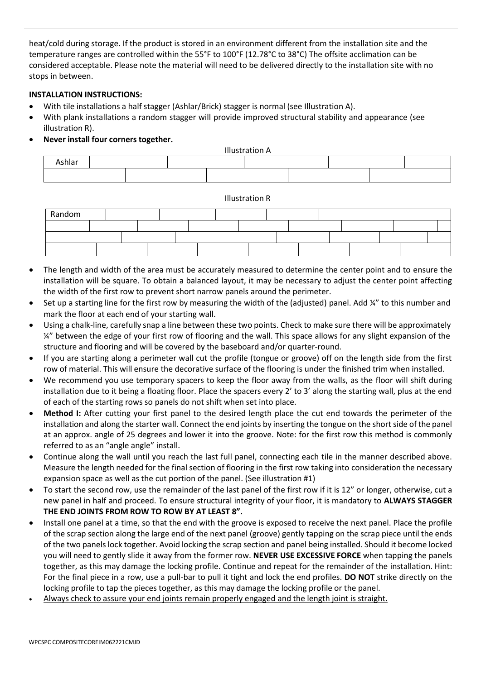heat/cold during storage. If the product is stored in an environment different from the installation site and the temperature ranges are controlled within the 55°F to 100°F (12.78°C to 38°C) The offsite acclimation can be considered acceptable. Please note the material will need to be delivered directly to the installation site with no stops in between.

#### **INSTALLATION INSTRUCTIONS:**

- With tile installations a half stagger (Ashlar/Brick) stagger is normal (see Illustration A).
- With plank installations a random stagger will provide improved structural stability and appearance (see illustration R).
- **Never install four corners together.**



Illustration R

| Random |  |  |  |  |  |  |  |  |
|--------|--|--|--|--|--|--|--|--|
|        |  |  |  |  |  |  |  |  |
|        |  |  |  |  |  |  |  |  |
|        |  |  |  |  |  |  |  |  |

- The length and width of the area must be accurately measured to determine the center point and to ensure the installation will be square. To obtain a balanced layout, it may be necessary to adjust the center point affecting the width of the first row to prevent short narrow panels around the perimeter.
- Set up a starting line for the first row by measuring the width of the (adjusted) panel. Add ¼" to this number and mark the floor at each end of your starting wall.
- Using a chalk-line, carefully snap a line between these two points. Check to make sure there will be approximately  $\frac{1}{4}$ " between the edge of your first row of flooring and the wall. This space allows for any slight expansion of the structure and flooring and will be covered by the baseboard and/or quarter-round.
- If you are starting along a perimeter wall cut the profile (tongue or groove) off on the length side from the first row of material. This will ensure the decorative surface of the flooring is under the finished trim when installed.
- We recommend you use temporary spacers to keep the floor away from the walls, as the floor will shift during installation due to it being a floating floor. Place the spacers every 2' to 3' along the starting wall, plus at the end of each of the starting rows so panels do not shift when set into place.
- **Method I:** After cutting your first panel to the desired length place the cut end towards the perimeter of the installation and along the starter wall. Connect the end joints by inserting the tongue on the short side of the panel at an approx. angle of 25 degrees and lower it into the groove. Note: for the first row this method is commonly referred to as an "angle angle" install.
- Continue along the wall until you reach the last full panel, connecting each tile in the manner described above. Measure the length needed for the final section of flooring in the first row taking into consideration the necessary expansion space as well as the cut portion of the panel. (See illustration #1)
- To start the second row, use the remainder of the last panel of the first row if it is 12" or longer, otherwise, cut a new panel in half and proceed. To ensure structural integrity of your floor, it is mandatory to **ALWAYS STAGGER THE END JOINTS FROM ROW TO ROW BY AT LEAST 8".**
- Install one panel at a time, so that the end with the groove is exposed to receive the next panel. Place the profile of the scrap section along the large end of the next panel (groove) gently tapping on the scrap piece until the ends of the two panels lock together. Avoid locking the scrap section and panel being installed. Should it become locked you will need to gently slide it away from the former row. **NEVER USE EXCESSIVE FORCE** when tapping the panels together, as this may damage the locking profile. Continue and repeat for the remainder of the installation. Hint: For the final piece in a row, use a pull-bar to pull it tight and lock the end profiles. **DO NOT** strike directly on the locking profile to tap the pieces together, as this may damage the locking profile or the panel.
- Always check to assure your end joints remain properly engaged and the length joint is straight.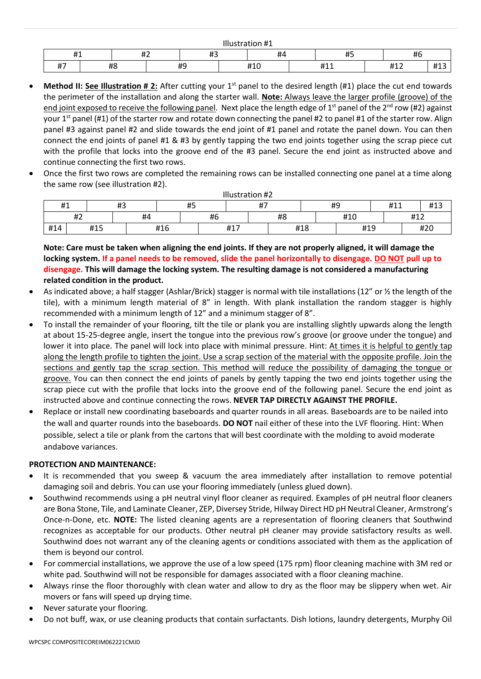| $\cdots$<br>ustration #1 |    |       |  |                 |  |                     |  |                  |  |                   |  |  |  |  |
|--------------------------|----|-------|--|-----------------|--|---------------------|--|------------------|--|-------------------|--|--|--|--|
| н.                       |    | <br>ᅲ |  | $\cdots$<br>π., |  | #4                  |  | மா<br>$\bm{\pi}$ |  | <b>11 C</b><br>ĦЬ |  |  |  |  |
| #7                       | #8 |       |  | 40<br>ᅲ         |  | $\mathbf{u}$<br>#10 |  | ᅲᆂᆂ              |  | #12               |  |  |  |  |

- **Method II: See Illustration # 2:** After cutting your 1<sup>st</sup> panel to the desired length (#1) place the cut end towards the perimeter of the installation and along the starter wall. **Note:** Always leave the larger profile (groove) of the end joint exposed to receive the following panel. Next place the length edge of 1st panel of the 2<sup>nd</sup> row (#2) against your 1<sup>st</sup> panel (#1) of the starter row and rotate down connecting the panel #2 to panel #1 of the starter row. Align panel #3 against panel #2 and slide towards the end joint of #1 panel and rotate the panel down. You can then connect the end joints of panel #1 & #3 by gently tapping the two end joints together using the scrap piece cut with the profile that locks into the groove end of the #3 panel. Secure the end joint as instructed above and continue connecting the first two rows.
- Once the first two rows are completed the remaining rows can be installed connecting one panel at a time along the same row (see illustration #2).

|     | Illustration #2 |    |  |     |                    |             |     |    |     |     |     |     |                                      |  |  |
|-----|-----------------|----|--|-----|--------------------|-------------|-----|----|-----|-----|-----|-----|--------------------------------------|--|--|
| #1  |                 | #3 |  | #5  |                    | #7<br>$\pi$ |     | #9 |     |     |     |     | 41 <sup>2</sup><br>#11<br><b>#13</b> |  |  |
|     | #2              | #4 |  |     | $\mathbf{u}$<br>Ħb |             | #8  |    |     | #10 |     | #12 |                                      |  |  |
| #14 | #15             |    |  | #16 |                    |             | #17 |    | #18 |     | #19 |     | #20                                  |  |  |

**Note: Care must be taken when aligning the end joints. If they are not properly aligned, it will damage the locking system. If a panel needs to be removed, slide the panel horizontally to disengage. DO NOT pull up to disengage. This will damage the locking system. The resulting damage is not considered a manufacturing related condition in the product.**

- As indicated above; a half stagger (Ashlar/Brick) stagger is normal with tile installations (12" or 1/2 the length of the tile), with a minimum length material of 8" in length. With plank installation the random stagger is highly recommended with a minimum length of 12" and a minimum stagger of 8".
- To install the remainder of your flooring, tilt the tile or plank you are installing slightly upwards along the length at about 15-25-degree angle, insert the tongue into the previous row's groove (or groove under the tongue) and lower it into place. The panel will lock into place with minimal pressure. Hint: At times it is helpful to gently tap along the length profile to tighten the joint. Use a scrap section of the material with the opposite profile. Join the sections and gently tap the scrap section. This method will reduce the possibility of damaging the tongue or groove. You can then connect the end joints of panels by gently tapping the two end joints together using the scrap piece cut with the profile that locks into the groove end of the following panel. Secure the end joint as instructed above and continue connecting the rows. **NEVER TAP DIRECTLY AGAINST THE PROFILE.**
- Replace or install new coordinating baseboards and quarter rounds in all areas. Baseboards are to be nailed into the wall and quarter rounds into the baseboards. **DO NOT** nail either of these into the LVF flooring. Hint: When possible, select a tile or plank from the cartons that will best coordinate with the molding to avoid moderate andabove variances.

#### **PROTECTION AND MAINTENANCE:**

- It is recommended that you sweep & vacuum the area immediately after installation to remove potential damaging soil and debris. You can use your flooring immediately (unless glued down).
- Southwind recommends using a pH neutral vinyl floor cleaner as required. Examples of pH neutral floor cleaners are Bona Stone, Tile, and Laminate Cleaner, ZEP, Diversey Stride, Hilway Direct HD pH Neutral Cleaner, Armstrong's Once-n-Done, etc. **NOTE:** The listed cleaning agents are a representation of flooring cleaners that Southwind recognizes as acceptable for our products. Other neutral pH cleaner may provide satisfactory results as well. Southwind does not warrant any of the cleaning agents or conditions associated with them as the application of them is beyond our control.
- For commercial installations, we approve the use of a low speed (175 rpm) floor cleaning machine with 3M red or white pad. Southwind will not be responsible for damages associated with a floor cleaning machine.
- Always rinse the floor thoroughly with clean water and allow to dry as the floor may be slippery when wet. Air movers or fans will speed up drying time.
- Never saturate your flooring.
- Do not buff, wax, or use cleaning products that contain surfactants. Dish lotions, laundry detergents, Murphy Oil